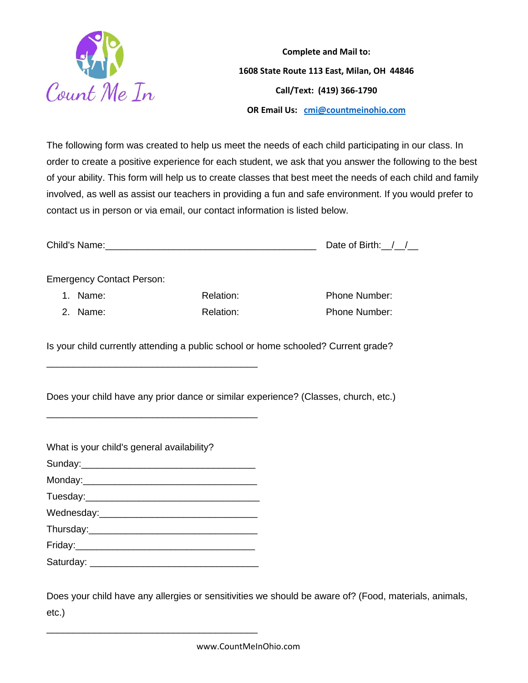

**Complete and Mail to: 1608 State Route 113 East, Milan, OH 44846 Call/Text: (419) 366-1790 OR Email Us: [cmi@countmeinohio.com](mailto:cmi@countmeinohio.com)**

The following form was created to help us meet the needs of each child participating in our class. In order to create a positive experience for each student, we ask that you answer the following to the best of your ability. This form will help us to create classes that best meet the needs of each child and family involved, as well as assist our teachers in providing a fun and safe environment. If you would prefer to contact us in person or via email, our contact information is listed below.

| Child's Name: | Date of Birth: |  |
|---------------|----------------|--|
|               |                |  |

Emergency Contact Person:

1. Name: Relation: Relation: Phone Number: 2. Name: Relation: Relation: Phone Number:

Is your child currently attending a public school or home schooled? Current grade?

Does your child have any prior dance or similar experience? (Classes, church, etc.)

| What is your child's general availability? |
|--------------------------------------------|
|                                            |
|                                            |
|                                            |
|                                            |
|                                            |
|                                            |
|                                            |

\_\_\_\_\_\_\_\_\_\_\_\_\_\_\_\_\_\_\_\_\_\_\_\_\_\_\_\_\_\_\_\_\_\_\_\_\_\_\_\_

\_\_\_\_\_\_\_\_\_\_\_\_\_\_\_\_\_\_\_\_\_\_\_\_\_\_\_\_\_\_\_\_\_\_\_\_\_\_\_\_

Saturday: \_\_\_\_\_\_\_\_\_\_\_\_\_\_\_\_\_\_\_\_\_\_\_\_\_\_\_\_\_\_\_\_

\_\_\_\_\_\_\_\_\_\_\_\_\_\_\_\_\_\_\_\_\_\_\_\_\_\_\_\_\_\_\_\_\_\_\_\_\_\_\_\_

Does your child have any allergies or sensitivities we should be aware of? (Food, materials, animals, etc.)

www.CountMeInOhio.com